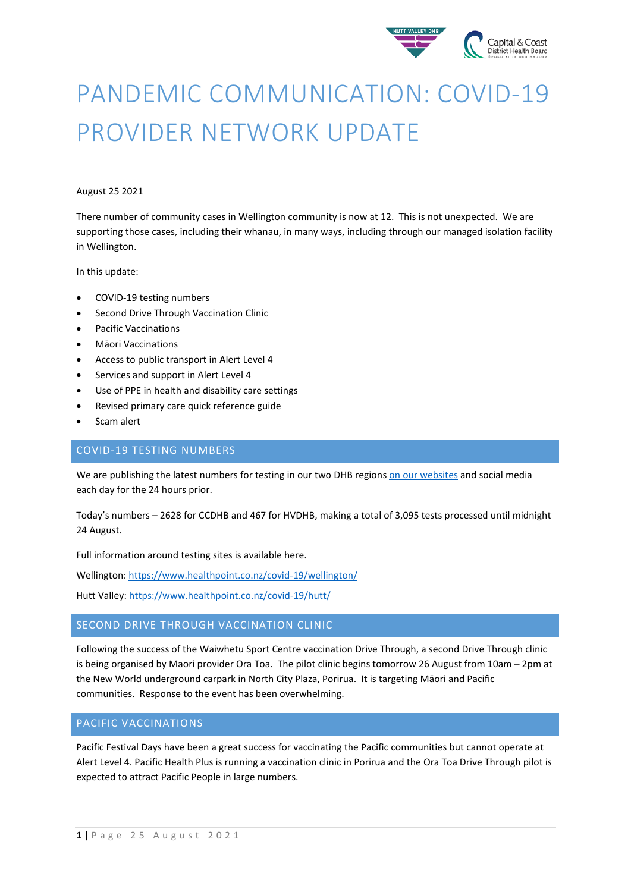

# PANDEMIC COMMUNICATION: COVID-19 PROVIDER NETWORK UPDATE

#### August 25 2021

There number of community cases in Wellington community is now at 12. This is not unexpected. We are supporting those cases, including their whanau, in many ways, including through our managed isolation facility in Wellington.

In this update:

- COVID-19 testing numbers
- Second Drive Through Vaccination Clinic
- Pacific Vaccinations
- Māori Vaccinations
- Access to public transport in Alert Level 4
- Services and support in Alert Level 4
- Use of PPE in health and disability care settings
- Revised primary care quick reference guide
- Scam alert

## COVID-19 TESTING NUMBERS

We are publishing the latest numbers for testing in our two DHB region[s on our websites](https://www.ccdhb.org.nz/our-services/covid-19-community-based-assessment-centres-cbacs/covid-19-testing-numbers/) and social media each day for the 24 hours prior.

Today's numbers – 2628 for CCDHB and 467 for HVDHB, making a total of 3,095 tests processed until midnight 24 August.

Full information around testing sites is available here.

Wellington[: https://www.healthpoint.co.nz/covid-19/wellington/](https://www.healthpoint.co.nz/covid-19/wellington/)

Hutt Valley:<https://www.healthpoint.co.nz/covid-19/hutt/>

## SECOND DRIVE THROUGH VACCINATION CLINIC

Following the success of the Waiwhetu Sport Centre vaccination Drive Through, a second Drive Through clinic is being organised by Maori provider Ora Toa. The pilot clinic begins tomorrow 26 August from 10am – 2pm at the New World underground carpark in North City Plaza, Porirua. It is targeting Māori and Pacific communities. Response to the event has been overwhelming.

#### PACIFIC VACCINATIONS

Pacific Festival Days have been a great success for vaccinating the Pacific communities but cannot operate at Alert Level 4. Pacific Health Plus is running a vaccination clinic in Porirua and the Ora Toa Drive Through pilot is expected to attract Pacific People in large numbers.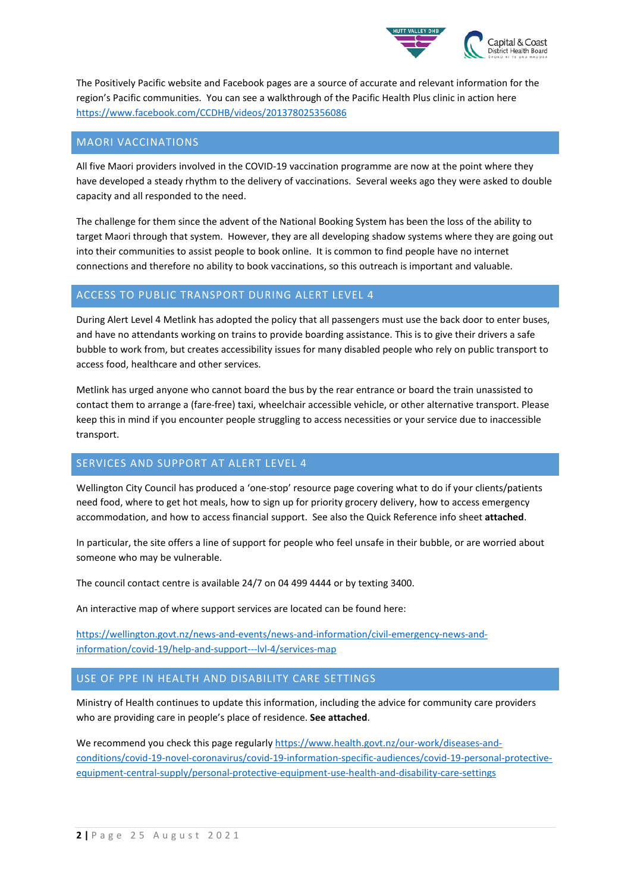

The Positively Pacific website and Facebook pages are a source of accurate and relevant information for the region's Pacific communities. You can see a walkthrough of the Pacific Health Plus clinic in action here <https://www.facebook.com/CCDHB/videos/201378025356086>

#### MAORI VACCINATIONS

All five Maori providers involved in the COVID-19 vaccination programme are now at the point where they have developed a steady rhythm to the delivery of vaccinations. Several weeks ago they were asked to double capacity and all responded to the need.

The challenge for them since the advent of the National Booking System has been the loss of the ability to target Maori through that system. However, they are all developing shadow systems where they are going out into their communities to assist people to book online. It is common to find people have no internet connections and therefore no ability to book vaccinations, so this outreach is important and valuable.

## ACCESS TO PUBLIC TRANSPORT DURING ALERT LEVEL 4

During Alert Level 4 Metlink has adopted the policy that all passengers must use the back door to enter buses, and have no attendants working on trains to provide boarding assistance. This is to give their drivers a safe bubble to work from, but creates accessibility issues for many disabled people who rely on public transport to access food, healthcare and other services.

Metlink has urged anyone who cannot board the bus by the rear entrance or board the train unassisted to contact them to arrange a (fare-free) taxi, wheelchair accessible vehicle, or other alternative transport. Please keep this in mind if you encounter people struggling to access necessities or your service due to inaccessible transport.

#### SERVICES AND SUPPORT AT ALERT LEVEL 4

Wellington City Council has produced a 'one-stop' resource page covering what to do if your clients/patients need food, where to get hot meals, how to sign up for priority grocery delivery, how to access emergency accommodation, and how to access financial support. See also the Quick Reference info sheet **attached**.

In particular, the site offers a line of support for people who feel unsafe in their bubble, or are worried about someone who may be vulnerable.

The council contact centre is available 24/7 on 04 499 4444 or by texting 3400.

An interactive map of where support services are located can be found here:

[https://wellington.govt.nz/news-and-events/news-and-information/civil-emergency-news-and](https://wellington.govt.nz/news-and-events/news-and-information/civil-emergency-news-and-information/covid-19/help-and-support---lvl-4/services-map)[information/covid-19/help-and-support---lvl-4/services-map](https://wellington.govt.nz/news-and-events/news-and-information/civil-emergency-news-and-information/covid-19/help-and-support---lvl-4/services-map)

### USE OF PPE IN HEALTH AND DISABILITY CARE SETTINGS

Ministry of Health continues to update this information, including the advice for community care providers who are providing care in people's place of residence. **See attached**.

We recommend you check this page regularly [https://www.health.govt.nz/our-work/diseases-and](https://www.health.govt.nz/our-work/diseases-and-conditions/covid-19-novel-coronavirus/covid-19-information-specific-audiences/covid-19-personal-protective-equipment-central-supply/personal-protective-equipment-use-health-and-disability-care-settings)[conditions/covid-19-novel-coronavirus/covid-19-information-specific-audiences/covid-19-personal-protective](https://www.health.govt.nz/our-work/diseases-and-conditions/covid-19-novel-coronavirus/covid-19-information-specific-audiences/covid-19-personal-protective-equipment-central-supply/personal-protective-equipment-use-health-and-disability-care-settings)[equipment-central-supply/personal-protective-equipment-use-health-and-disability-care-settings](https://www.health.govt.nz/our-work/diseases-and-conditions/covid-19-novel-coronavirus/covid-19-information-specific-audiences/covid-19-personal-protective-equipment-central-supply/personal-protective-equipment-use-health-and-disability-care-settings)